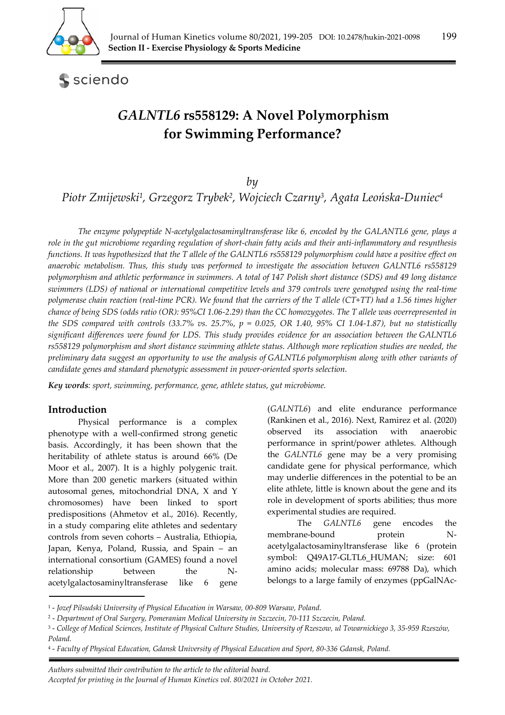

sciendo

# *GALNTL6* **rs558129: A Novel Polymorphism for Swimming Performance?**

*by* 

*Piotr Zmijewski1, Grzegorz Trybek2, Wojciech Czarny3, Agata Leońska-Duniec4*

*The enzyme polypeptide N-acetylgalactosaminyltransferase like 6, encoded by the GALANTL6 gene, plays a role in the gut microbiome regarding regulation of short-chain fatty acids and their anti-inflammatory and resynthesis functions. It was hypothesized that the T allele of the GALNTL6 rs558129 polymorphism could have a positive effect on anaerobic metabolism. Thus, this study was performed to investigate the association between GALNTL6 rs558129 polymorphism and athletic performance in swimmers. A total of 147 Polish short distance (SDS) and 49 long distance swimmers (LDS) of national or international competitive levels and 379 controls were genotyped using the real-time polymerase chain reaction (real-time PCR). We found that the carriers of the T allele (CT+TT) had a 1.56 times higher chance of being SDS (odds ratio (OR): 95%CI 1.06-2.29) than the CC homozygotes. The T allele was overrepresented in the SDS compared with controls (33.7% vs. 25.7%, p = 0.025, OR 1.40, 95% CI 1.04-1.87), but no statistically significant differences were found for LDS. This study provides evidence for an association between the GALNTL6 rs558129 polymorphism and short distance swimming athlete status. Although more replication studies are needed, the preliminary data suggest an opportunity to use the analysis of GALNTL6 polymorphism along with other variants of candidate genes and standard phenotypic assessment in power-oriented sports selection.* 

*Key words: sport, swimming, performance, gene, athlete status, gut microbiome.* 

### **Introduction**

Physical performance is a complex phenotype with a well-confirmed strong genetic basis. Accordingly, it has been shown that the heritability of athlete status is around 66% (De Moor et al., 2007). It is a highly polygenic trait. More than 200 genetic markers (situated within autosomal genes, mitochondrial DNA, X and Y chromosomes) have been linked to sport predispositions (Ahmetov et al., 2016). Recently, in a study comparing elite athletes and sedentary controls from seven cohorts – Australia, Ethiopia, Japan, Kenya, Poland, Russia, and Spain – an international consortium (GAMES) found a novel relationship between the Nacetylgalactosaminyltransferase like 6 gene

(*GALNTL6*) and elite endurance performance (Rankinen et al., 2016). Next, Ramirez et al. (2020) observed its association with anaerobic performance in sprint/power athletes. Although the *GALNTL6* gene may be a very promising candidate gene for physical performance, which may underlie differences in the potential to be an elite athlete, little is known about the gene and its role in development of sports abilities; thus more experimental studies are required.

The *GALNTL6* gene encodes the membrane-bound protein Nacetylgalactosaminyltransferase like 6 (protein symbol: Q49A17-GLTL6 HUMAN; size: 601 amino acids; molecular mass: 69788 Da), which belongs to a large family of enzymes (ppGalNAc-

 *Authors submitted their contribution to the article to the editorial board. Accepted for printing in the Journal of Human Kinetics vol. 80/2021 in October 2021.* 

<sup>1 -</sup> *Jozef Pilsudski University of Physical Education in Warsaw, 00-809 Warsaw, Poland.* 

<sup>2 -</sup> *Department of Oral Surgery, Pomeranian Medical University in Szczecin, 70-111 Szczecin, Poland.* 

<sup>3 -</sup> *College of Medical Sciences, Institute of Physical Culture Studies, University of Rzeszow, ul Towarnickiego 3, 35-959 Rzeszów, Poland.* 

<sup>4 -</sup> *Faculty of Physical Education, Gdansk University of Physical Education and Sport, 80-336 Gdansk, Poland.*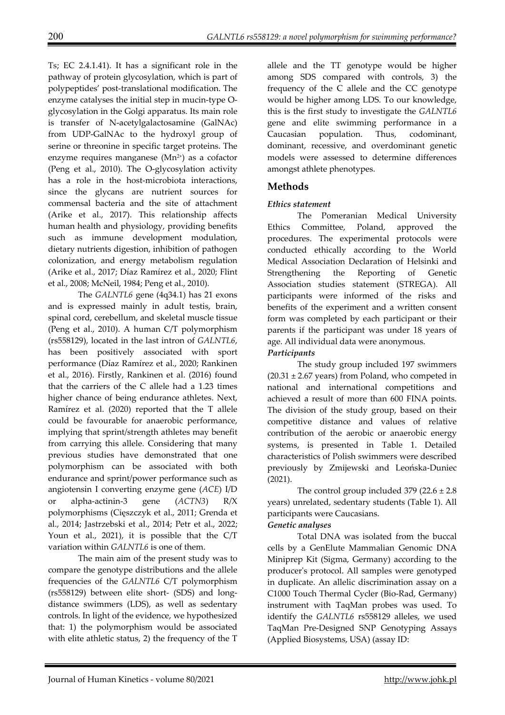Ts; EC 2.4.1.41). It has a significant role in the pathway of protein glycosylation, which is part of polypeptides' post-translational modification. The enzyme catalyses the initial step in mucin-type Oglycosylation in the Golgi apparatus. Its main role is transfer of N-acetylgalactosamine (GalNAc) from UDP-GalNAc to the hydroxyl group of serine or threonine in specific target proteins. The enzyme requires manganese  $(Mn<sup>2+</sup>)$  as a cofactor (Peng et al., 2010). The O-glycosylation activity has a role in the host-microbiota interactions, since the glycans are nutrient sources for commensal bacteria and the site of attachment (Arike et al., 2017). This relationship affects human health and physiology, providing benefits such as immune development modulation, dietary nutrients digestion, inhibition of pathogen colonization, and energy metabolism regulation (Arike et al., 2017; Díaz Ramírez et al., 2020; Flint et al., 2008; McNeil, 1984; Peng et al., 2010).

The *GALNTL6* gene (4q34.1) has 21 exons and is expressed mainly in adult testis, brain, spinal cord, cerebellum, and skeletal muscle tissue (Peng et al., 2010). A human C/T polymorphism (rs558129), located in the last intron of *GALNTL6*, has been positively associated with sport performance (Díaz Ramírez et al., 2020; Rankinen et al., 2016). Firstly, Rankinen et al. (2016) found that the carriers of the C allele had a 1.23 times higher chance of being endurance athletes. Next, Ramírez et al. (2020) reported that the T allele could be favourable for anaerobic performance, implying that sprint/strength athletes may benefit from carrying this allele. Considering that many previous studies have demonstrated that one polymorphism can be associated with both endurance and sprint/power performance such as angiotensin I converting enzyme gene (*ACE*) I/D or alpha-actinin-3 gene (*ACTN3*) R/X polymorphisms (Cięszczyk et al., 2011; Grenda et al., 2014; Jastrzebski et al., 2014; Petr et al., 2022; Youn et al., 2021), it is possible that the C/T variation within *GALNTL6* is one of them.

The main aim of the present study was to compare the genotype distributions and the allele frequencies of the *GALNTL6* C/T polymorphism (rs558129) between elite short- (SDS) and longdistance swimmers (LDS), as well as sedentary controls. In light of the evidence, we hypothesized that: 1) the polymorphism would be associated with elite athletic status, 2) the frequency of the T allele and the TT genotype would be higher among SDS compared with controls, 3) the frequency of the C allele and the CC genotype would be higher among LDS. To our knowledge, this is the first study to investigate the *GALNTL6* gene and elite swimming performance in a Caucasian population. Thus, codominant, dominant, recessive, and overdominant genetic models were assessed to determine differences amongst athlete phenotypes.

# **Methods**

### *Ethics statement*

The Pomeranian Medical University Ethics Committee, Poland, approved the procedures. The experimental protocols were conducted ethically according to the World Medical Association Declaration of Helsinki and Strengthening the Reporting of Genetic Association studies statement (STREGA). All participants were informed of the risks and benefits of the experiment and a written consent form was completed by each participant or their parents if the participant was under 18 years of age. All individual data were anonymous.

### *Participants*

The study group included 197 swimmers  $(20.31 \pm 2.67 \text{ years})$  from Poland, who competed in national and international competitions and achieved a result of more than 600 FINA points. The division of the study group, based on their competitive distance and values of relative contribution of the aerobic or anaerobic energy systems, is presented in Table 1. Detailed characteristics of Polish swimmers were described previously by Zmijewski and Leońska-Duniec (2021).

The control group included  $379$  ( $22.6 \pm 2.8$ ) years) unrelated, sedentary students (Table 1). All participants were Caucasians.

### *Genetic analyses*

Total DNA was isolated from the buccal cells by a GenElute Mammalian Genomic DNA Miniprep Kit (Sigma, Germany) according to the producer's protocol. All samples were genotyped in duplicate. An allelic discrimination assay on a C1000 Touch Thermal Cycler (Bio-Rad, Germany) instrument with TaqMan probes was used. To identify the *GALNTL6* rs558129 alleles, we used TaqMan Pre-Designed SNP Genotyping Assays (Applied Biosystems, USA) (assay ID: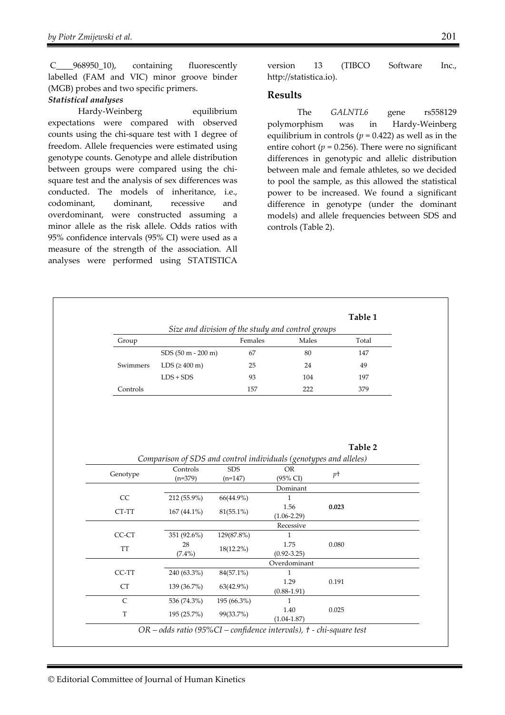C\_\_\_\_968950\_10), containing fluorescently labelled (FAM and VIC) minor groove binder (MGB) probes and two specific primers.

### *Statistical analyses*

Hardy-Weinberg equilibrium expectations were compared with observed counts using the chi-square test with 1 degree of freedom. Allele frequencies were estimated using genotype counts. Genotype and allele distribution between groups were compared using the chisquare test and the analysis of sex differences was conducted. The models of inheritance, i.e., codominant, dominant, recessive and overdominant, were constructed assuming a minor allele as the risk allele. Odds ratios with 95% confidence intervals (95% CI) were used as a measure of the strength of the association. All analyses were performed using STATISTICA

version 13 (TIBCO Software Inc., http://statistica.io).

### **Results**

The *GALNTL6* gene rs558129 polymorphism was in Hardy-Weinberg equilibrium in controls ( $p = 0.422$ ) as well as in the entire cohort ( $p = 0.256$ ). There were no significant differences in genotypic and allelic distribution between male and female athletes, so we decided to pool the sample, as this allowed the statistical power to be increased. We found a significant difference in genotype (under the dominant models) and allele frequencies between SDS and controls (Table 2).

|          | Table 1<br>Size and division of the study and control groups |         |       |       |
|----------|--------------------------------------------------------------|---------|-------|-------|
| Group    |                                                              | Females | Males | Total |
|          | $SDS(50 m - 200 m)$                                          | 67      | 80    | 147   |
| Swimmers | LDS $(2400 \text{ m})$                                       | 25      | 24    | 49    |
|          | $LDS + SDS$                                                  | 93      | 104   | 197   |
| Controls |                                                              | 157     | 222   | 379   |

**Table 2** 

| Genotype | Controls                                                                    | <b>SDS</b>   | <b>OR</b>           | $p+$  |  |
|----------|-----------------------------------------------------------------------------|--------------|---------------------|-------|--|
|          | $(n=379)$                                                                   | $(n=147)$    | $(95\% \text{ CI})$ |       |  |
|          |                                                                             |              | Dominant            |       |  |
| CC.      | 212 (55.9%)                                                                 | 66(44.9%)    | 1                   |       |  |
| CT-TT    |                                                                             | $81(55.1\%)$ | 1.56                | 0.023 |  |
|          | $167(44.1\%)$                                                               |              | $(1.06 - 2.29)$     |       |  |
|          |                                                                             |              | Recessive           |       |  |
| CC-CT    | 351 (92.6%)                                                                 | 129(87.8%)   | 1                   |       |  |
|          | 28                                                                          | $18(12.2\%)$ | 1.75                | 0.080 |  |
| TT       | $(7.4\%)$                                                                   |              | $(0.92 - 3.25)$     |       |  |
|          |                                                                             |              | Overdominant        |       |  |
| CC-TT    | 240 (63.3%)                                                                 | 84(57.1%)    | 1                   |       |  |
|          |                                                                             |              | 1.29                | 0.191 |  |
| CT       | 139 (36.7%)                                                                 | $63(42.9\%)$ | $(0.88 - 1.91)$     |       |  |
| C        | 536 (74.3%)                                                                 | 195 (66.3%)  | 1                   |       |  |
|          |                                                                             |              | 1.40                | 0.025 |  |
| T        | 195 (25.7%)                                                                 | 99(33.7%)    | $(1.04 - 1.87)$     |       |  |
|          | $OR - odds$ ratio (95% $CI - confidence$ intervals), $t - chi$ -square test |              |                     |       |  |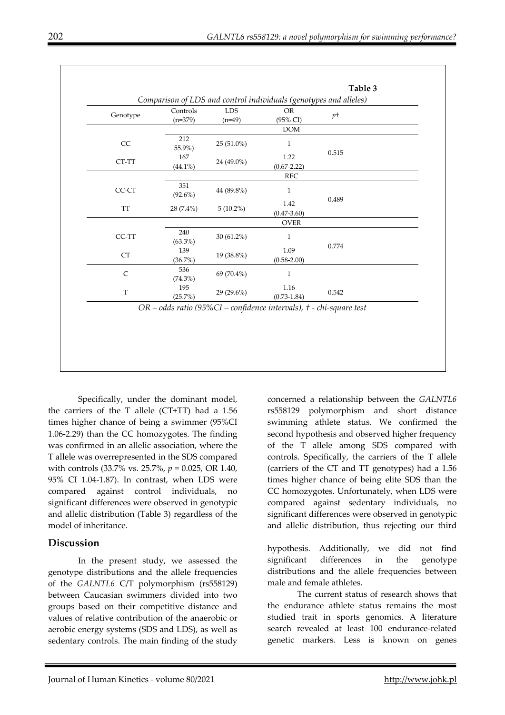|              |                   |              | Comparison of LDS and control individuals (genotypes and alleles) |       |
|--------------|-------------------|--------------|-------------------------------------------------------------------|-------|
| Genotype     | Controls          | <b>LDS</b>   | <b>OR</b>                                                         | pt    |
|              | $(n=379)$         | $(n=49)$     | (95% CI)                                                          |       |
|              |                   |              | <b>DOM</b>                                                        |       |
| CC           | 212<br>55.9%)     | 25 (51.0%)   | 1                                                                 |       |
| CT-TT        | 167               | 24 (49.0%)   | 1.22                                                              | 0.515 |
|              | $(44.1\%)$        |              | $(0.67 - 2.22)$                                                   |       |
|              |                   |              | <b>REC</b>                                                        |       |
| CC-CT        | 351<br>$(92.6\%)$ | 44 (89.8%)   | $\mathbf{1}$                                                      |       |
|              |                   | $5(10.2\%)$  | 1.42                                                              | 0.489 |
| TT           | $28(7.4\%)$       |              | $(0.47 - 3.60)$                                                   |       |
|              |                   |              | <b>OVER</b>                                                       |       |
| CC-TT        | 240               | $30(61.2\%)$ | 1                                                                 |       |
|              | $(63.3\%)$        |              |                                                                   | 0.774 |
| <b>CT</b>    | 139               | 19 (38.8%)   | 1.09                                                              |       |
|              | $(36.7\%)$        |              | $(0.58 - 2.00)$                                                   |       |
| $\mathsf{C}$ | 536               | 69 (70.4%)   | $\mathbf{1}$                                                      |       |
|              | $(74.3\%)$        |              |                                                                   |       |
| T            | 195               | 29 (29.6%)   | 1.16                                                              | 0.542 |
|              | (25.7%)           |              | $(0.73 - 1.84)$                                                   |       |

Specifically, under the dominant model, the carriers of the T allele (CT+TT) had a 1.56 times higher chance of being a swimmer (95%CI 1.06-2.29) than the CC homozygotes. The finding was confirmed in an allelic association, where the T allele was overrepresented in the SDS compared with controls (33.7% vs. 25.7%, *p* = 0.025, OR 1.40, 95% CI 1.04-1.87). In contrast, when LDS were compared against control individuals, no significant differences were observed in genotypic and allelic distribution (Table 3) regardless of the model of inheritance.

# **Discussion**

In the present study, we assessed the genotype distributions and the allele frequencies of the *GALNTL6* C/T polymorphism (rs558129) between Caucasian swimmers divided into two groups based on their competitive distance and values of relative contribution of the anaerobic or aerobic energy systems (SDS and LDS), as well as sedentary controls. The main finding of the study concerned a relationship between the *GALNTL6*  rs558129 polymorphism and short distance swimming athlete status. We confirmed the second hypothesis and observed higher frequency of the T allele among SDS compared with controls. Specifically, the carriers of the T allele (carriers of the CT and TT genotypes) had a 1.56 times higher chance of being elite SDS than the CC homozygotes. Unfortunately, when LDS were compared against sedentary individuals, no significant differences were observed in genotypic and allelic distribution, thus rejecting our third

hypothesis. Additionally, we did not find significant differences in the genotype distributions and the allele frequencies between male and female athletes.

The current status of research shows that the endurance athlete status remains the most studied trait in sports genomics. A literature search revealed at least 100 endurance-related genetic markers. Less is known on genes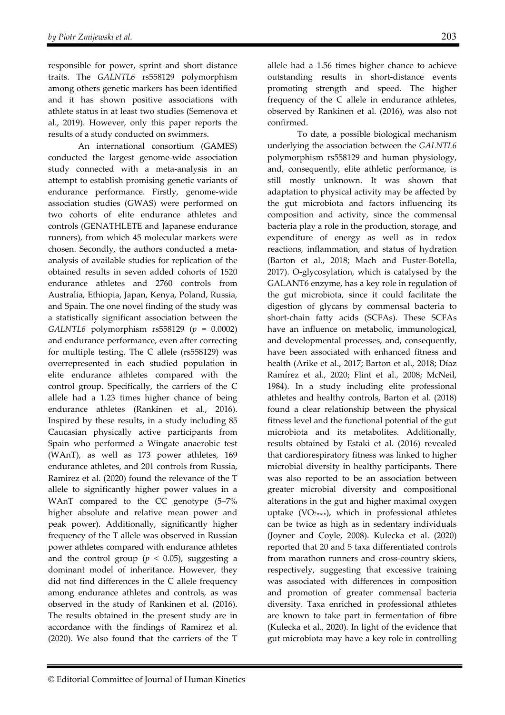responsible for power, sprint and short distance traits. The *GALNTL6* rs558129 polymorphism among others genetic markers has been identified and it has shown positive associations with athlete status in at least two studies (Semenova et al., 2019). However, only this paper reports the results of a study conducted on swimmers.

An international consortium (GAMES) conducted the largest genome-wide association study connected with a meta-analysis in an attempt to establish promising genetic variants of endurance performance. Firstly, genome-wide association studies (GWAS) were performed on two cohorts of elite endurance athletes and controls (GENATHLETE and Japanese endurance runners), from which 45 molecular markers were chosen. Secondly, the authors conducted a metaanalysis of available studies for replication of the obtained results in seven added cohorts of 1520 endurance athletes and 2760 controls from Australia, Ethiopia, Japan, Kenya, Poland, Russia, and Spain. The one novel finding of the study was a statistically significant association between the *GALNTL6* polymorphism rs558129 (*p* = 0.0002) and endurance performance, even after correcting for multiple testing. The C allele (rs558129) was overrepresented in each studied population in elite endurance athletes compared with the control group. Specifically, the carriers of the C allele had a 1.23 times higher chance of being endurance athletes (Rankinen et al., 2016). Inspired by these results, in a study including 85 Caucasian physically active participants from Spain who performed a Wingate anaerobic test (WAnT), as well as 173 power athletes, 169 endurance athletes, and 201 controls from Russia, Ramirez et al. (2020) found the relevance of the T allele to significantly higher power values in a WAnT compared to the CC genotype (5–7% higher absolute and relative mean power and peak power). Additionally, significantly higher frequency of the T allele was observed in Russian power athletes compared with endurance athletes and the control group ( $p < 0.05$ ), suggesting a dominant model of inheritance. However, they did not find differences in the C allele frequency among endurance athletes and controls, as was observed in the study of Rankinen et al. (2016). The results obtained in the present study are in accordance with the findings of Ramirez et al. (2020). We also found that the carriers of the T

allele had a 1.56 times higher chance to achieve outstanding results in short-distance events promoting strength and speed. The higher frequency of the C allele in endurance athletes, observed by Rankinen et al. (2016), was also not confirmed.

To date, a possible biological mechanism underlying the association between the *GALNTL6* polymorphism rs558129 and human physiology, and, consequently, elite athletic performance, is still mostly unknown. It was shown that adaptation to physical activity may be affected by the gut microbiota and factors influencing its composition and activity, since the commensal bacteria play a role in the production, storage, and expenditure of energy as well as in redox reactions, inflammation, and status of hydration (Barton et al., 2018; Mach and Fuster-Botella, 2017). O-glycosylation, which is catalysed by the GALANT6 enzyme, has a key role in regulation of the gut microbiota, since it could facilitate the digestion of glycans by commensal bacteria to short-chain fatty acids (SCFAs). These SCFAs have an influence on metabolic, immunological, and developmental processes, and, consequently, have been associated with enhanced fitness and health (Arike et al., 2017; Barton et al., 2018; Díaz Ramírez et al., 2020; Flint et al., 2008; McNeil, 1984). In a study including elite professional athletes and healthy controls, Barton et al. (2018) found a clear relationship between the physical fitness level and the functional potential of the gut microbiota and its metabolites. Additionally, results obtained by Estaki et al. (2016) revealed that cardiorespiratory fitness was linked to higher microbial diversity in healthy participants. There was also reported to be an association between greater microbial diversity and compositional alterations in the gut and higher maximal oxygen uptake (VO2max), which in professional athletes can be twice as high as in sedentary individuals (Joyner and Coyle, 2008). Kulecka et al. (2020) reported that 20 and 5 taxa differentiated controls from marathon runners and cross-country skiers, respectively, suggesting that excessive training was associated with differences in composition and promotion of greater commensal bacteria diversity. Taxa enriched in professional athletes are known to take part in fermentation of fibre (Kulecka et al., 2020). In light of the evidence that gut microbiota may have a key role in controlling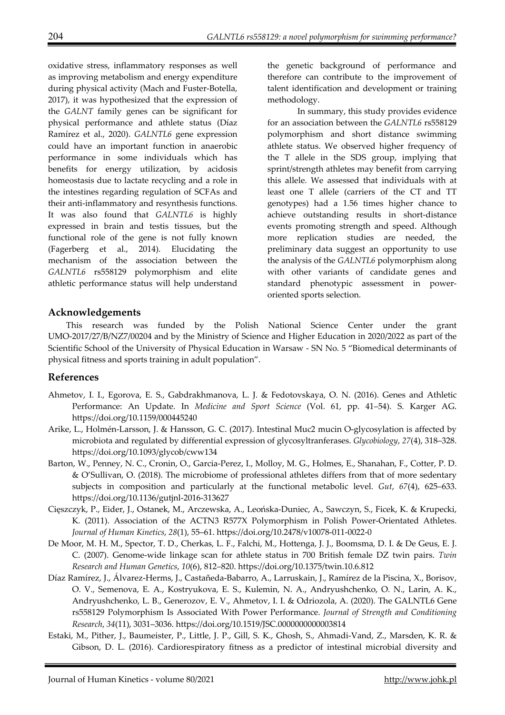oxidative stress, inflammatory responses as well as improving metabolism and energy expenditure during physical activity (Mach and Fuster-Botella, 2017), it was hypothesized that the expression of the *GALNT* family genes can be significant for physical performance and athlete status (Díaz Ramírez et al., 2020). *GALNTL6* gene expression could have an important function in anaerobic performance in some individuals which has benefits for energy utilization, by acidosis homeostasis due to lactate recycling and a role in the intestines regarding regulation of SCFAs and their anti-inflammatory and resynthesis functions. It was also found that *GALNTL6* is highly expressed in brain and testis tissues, but the functional role of the gene is not fully known (Fagerberg et al., 2014). Elucidating the mechanism of the association between the *GALNTL6* rs558129 polymorphism and elite athletic performance status will help understand

the genetic background of performance and therefore can contribute to the improvement of talent identification and development or training methodology.

In summary, this study provides evidence for an association between the *GALNTL6* rs558129 polymorphism and short distance swimming athlete status. We observed higher frequency of the T allele in the SDS group, implying that sprint/strength athletes may benefit from carrying this allele. We assessed that individuals with at least one T allele (carriers of the CT and TT genotypes) had a 1.56 times higher chance to achieve outstanding results in short-distance events promoting strength and speed. Although more replication studies are needed, the preliminary data suggest an opportunity to use the analysis of the *GALNTL6* polymorphism along with other variants of candidate genes and standard phenotypic assessment in poweroriented sports selection.

### **Acknowledgements**

This research was funded by the Polish National Science Center under the grant UMO-2017/27/B/NZ7/00204 and by the Ministry of Science and Higher Education in 2020/2022 as part of the Scientific School of the University of Physical Education in Warsaw - SN No. 5 "Biomedical determinants of physical fitness and sports training in adult population".

### **References**

- Ahmetov, I. I., Egorova, E. S., Gabdrakhmanova, L. J. & Fedotovskaya, O. N. (2016). Genes and Athletic Performance: An Update. In *Medicine and Sport Science* (Vol. 61, pp. 41–54). S. Karger AG. https://doi.org/10.1159/000445240
- Arike, L., Holmén-Larsson, J. & Hansson, G. C. (2017). Intestinal Muc2 mucin O-glycosylation is affected by microbiota and regulated by differential expression of glycosyltranferases. *Glycobiology*, *27*(4), 318–328. https://doi.org/10.1093/glycob/cww134
- Barton, W., Penney, N. C., Cronin, O., Garcia-Perez, I., Molloy, M. G., Holmes, E., Shanahan, F., Cotter, P. D. & O'Sullivan, O. (2018). The microbiome of professional athletes differs from that of more sedentary subjects in composition and particularly at the functional metabolic level. *Gut*, *67*(4), 625–633. https://doi.org/10.1136/gutjnl-2016-313627
- Cięszczyk, P., Eider, J., Ostanek, M., Arczewska, A., Leońska-Duniec, A., Sawczyn, S., Ficek, K. & Krupecki, K. (2011). Association of the ACTN3 R577X Polymorphism in Polish Power-Orientated Athletes. *Journal of Human Kinetics*, *28*(1), 55–61. https://doi.org/10.2478/v10078-011-0022-0
- De Moor, M. H. M., Spector, T. D., Cherkas, L. F., Falchi, M., Hottenga, J. J., Boomsma, D. I. & De Geus, E. J. C. (2007). Genome-wide linkage scan for athlete status in 700 British female DZ twin pairs. *Twin Research and Human Genetics*, *10*(6), 812–820. https://doi.org/10.1375/twin.10.6.812
- Díaz Ramírez, J., Álvarez-Herms, J., Castañeda-Babarro, A., Larruskain, J., Ramírez de la Piscina, X., Borisov, O. V., Semenova, E. A., Kostryukova, E. S., Kulemin, N. A., Andryushchenko, O. N., Larin, A. K., Andryushchenko, L. B., Generozov, E. V., Ahmetov, I. I. & Odriozola, A. (2020). The GALNTL6 Gene rs558129 Polymorphism Is Associated With Power Performance. *Journal of Strength and Conditioning Research*, *34*(11), 3031–3036. https://doi.org/10.1519/JSC.0000000000003814
- Estaki, M., Pither, J., Baumeister, P., Little, J. P., Gill, S. K., Ghosh, S., Ahmadi-Vand, Z., Marsden, K. R. & Gibson, D. L. (2016). Cardiorespiratory fitness as a predictor of intestinal microbial diversity and